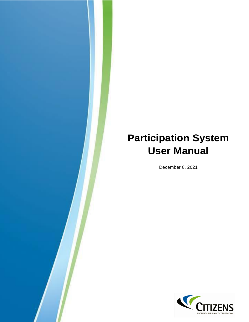## **Participation System User Manual**

December 8, 2021

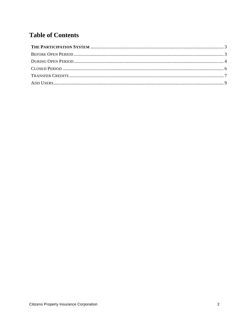## **Table of Contents**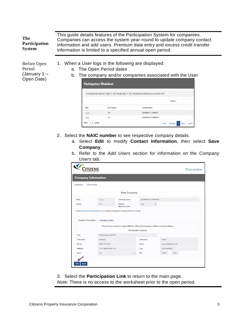<span id="page-2-3"></span><span id="page-2-2"></span><span id="page-2-1"></span><span id="page-2-0"></span>

| The<br><b>Participation</b><br><b>System</b>          |             |                                | information is limited to a specified annual open period.                                                       | This guide details features of the Participation System for companies.<br>Companies can access the system year-round to update company contact<br>information and add users. Premium data entry and excess credit transfer |  |
|-------------------------------------------------------|-------------|--------------------------------|-----------------------------------------------------------------------------------------------------------------|----------------------------------------------------------------------------------------------------------------------------------------------------------------------------------------------------------------------------|--|
| Before Open<br>Period<br>(January 1 $-$<br>Open Date) |             | <b>Participation Worksheet</b> | When a User logs in the following are displayed:<br>a. The Open Period dates                                    | b. The company and/or companies associated with the User                                                                                                                                                                   |  |
|                                                       |             |                                | Participation open dates are March 01, 2021 through May 01, 2021. The premium worksheets are not open for 2021. |                                                                                                                                                                                                                            |  |
|                                                       |             |                                |                                                                                                                 | Search                                                                                                                                                                                                                     |  |
|                                                       | <b>NAIC</b> |                                | <b>Grow Number</b>                                                                                              | Company Name                                                                                                                                                                                                               |  |
|                                                       |             | 12345                          | 123                                                                                                             | <b>INDEMNITY COMPANY</b>                                                                                                                                                                                                   |  |

2. Select the **NAIC number** to see respective company details.

123

67890 Show 10  $\qquad \Leftrightarrow$  entries

a. Select **Edit** to modify **Contact Information**, then select **Save Company**.

**INSURANCE COMPANY** 

■ « First < Previous 1 Next > Last »

b. Refer to the *Add Users* section for information on the *Company Users* tab.

| PROPERTY INSURANCE CORPORATIO |                      |                                                                                                                       |                          |   |             |                   | Participation |
|-------------------------------|----------------------|-----------------------------------------------------------------------------------------------------------------------|--------------------------|---|-------------|-------------------|---------------|
| <b>Company Information</b>    |                      |                                                                                                                       |                          |   |             |                   |               |
| Company<br>Documents          |                      |                                                                                                                       |                          |   |             |                   |               |
|                               |                      | <b>View Company</b>                                                                                                   |                          |   |             |                   |               |
| NAIC:                         | 12345                | Company name:                                                                                                         | <b>INDEMNITY COMPANY</b> |   |             |                   |               |
| Group:                        | 123                  | Limited                                                                                                               | <b>No</b>                | v |             |                   |               |
| Contact Information           | <b>Company Users</b> | Apportionment:<br>Email participation@citizensfla.com to request changes to Company Name or Group.                    |                          |   |             |                   |               |
|                               |                      | The primary contact is responsible for official Participation related correspondence.<br><b>Participation Contact</b> |                          |   |             |                   |               |
| Title:                        | FINANCIAL ANALYST    |                                                                                                                       |                          |   |             |                   |               |
| First name:                   | Bethany              |                                                                                                                       | Last name:               |   | Smith       |                   |               |
| Phone:                        | (888) 555-5555       |                                                                                                                       | Email:                   |   |             | Example@Email.com |               |
| Address:                      | 2101 MARYLAND CIR    |                                                                                                                       | City:                    |   | TALLAHASSEE |                   |               |

3. Select the **Participation Link** to return to the main page. *Note:* There is no access to the worksheet prior to the open period.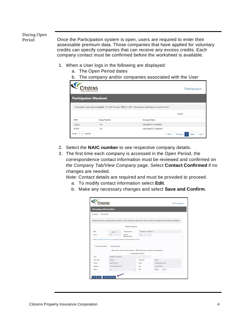<span id="page-3-0"></span>During Open

<span id="page-3-1"></span>Period Once the Participation system is open, users are required to enter their assessable premium data. Those companies that have applied for voluntary credits can specify companies that can receive any excess credits. Each company contact must be confirmed before the worksheet is available.

- 1. When a User logs in the following are displayed:
	- a. The Open Period dates
	- b. The company and/or companies associated with the User

|             | <b>TIZENS</b><br>PROPERTY INSURANCE CORPORATION | Participation                                                                                               |
|-------------|-------------------------------------------------|-------------------------------------------------------------------------------------------------------------|
|             | <b>Participation Worsheet</b>                   |                                                                                                             |
|             |                                                 | Participation open dates are March 01, 2021 through May 01, 2021. The premium worksheets are open for 2021. |
|             |                                                 | Search:                                                                                                     |
| <b>NAIC</b> | Ϋ.<br><b>Group Number</b>                       | <b>Company Name</b>                                                                                         |
| 12345       | 123                                             | <b>INDEMNITY COMPANY</b>                                                                                    |
| 67890       | 123                                             | <b>INSURANCE COMPANY</b>                                                                                    |
| Show        | entries                                         | « First<br>Previous<br>Next<br>1<br>Last $*$<br>ĸ                                                           |

- 2. Select the **NAIC number** to see respective company details.
- 3. The first time each company is accessed in the Open Period, the correspondence contact information must be reviewed and confirmed on *the Company Tab/View Company* page. Select **Contact Confirmed** if no changes are needed.

*Note:* Contact details are required and must be provided to proceed.

- a. To modify contact information select **Edit**.
- b. Make any necessary changes and select **Save and Confirm**.

| <b>Company Information</b>  |                                  |                                                                                       |                              |                                                                                                                           |
|-----------------------------|----------------------------------|---------------------------------------------------------------------------------------|------------------------------|---------------------------------------------------------------------------------------------------------------------------|
| <b>Documents</b><br>Company |                                  |                                                                                       |                              |                                                                                                                           |
|                             |                                  |                                                                                       |                              | Please review the correspondence contact. Once confirmed, select the Confirm button to enable the current year worksheet. |
|                             |                                  | <b>View Company</b>                                                                   |                              |                                                                                                                           |
| NAIC:                       | 12345                            | Company name:                                                                         | INDEMNITY COMPANY            |                                                                                                                           |
| Group:                      | 123<br>Limited<br>Apportionment: |                                                                                       | No.                          | v                                                                                                                         |
|                             |                                  | Email participation@citizensfla.com to request changes to Company Name or Group.      |                              |                                                                                                                           |
| Contact Information         | Company Users                    |                                                                                       |                              |                                                                                                                           |
|                             |                                  | The primary contact is responsible for official Participation related correspondence. | <b>Participation Contact</b> |                                                                                                                           |
| Title:                      | FINANCIAL ANALYST                |                                                                                       |                              |                                                                                                                           |
| First name:                 | Bethany                          |                                                                                       | Last name:                   | Smith                                                                                                                     |
| Phone:                      | (888) 555-5555                   |                                                                                       | Email:                       | Example@Email.com                                                                                                         |
| Address:                    | 2101 MARYLAND CIR                |                                                                                       | City:                        | ΤΑΙΤΑΗΔSSEE                                                                                                               |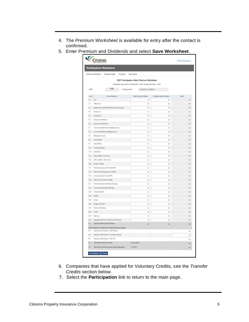- 4. The *Premium Worksheet* is available for entry after the contact is confirmed.
- 5. Enter Premium and Dividends and select **Save Worksheet**.

|              | CITIZENS                                                                                              |                         |                            |                 |  |  |  |  |
|--------------|-------------------------------------------------------------------------------------------------------|-------------------------|----------------------------|-----------------|--|--|--|--|
|              | <b>Participation Worksheet</b>                                                                        |                         |                            |                 |  |  |  |  |
|              | Premium Worksheet<br><b>Transfer Credits</b><br>Company                                               | Documents               |                            |                 |  |  |  |  |
|              |                                                                                                       |                         |                            |                 |  |  |  |  |
|              | 2021 Participation Ratio Premium Worksheet                                                            |                         |                            |                 |  |  |  |  |
|              | Participation open dates are September 1, 2021, through November 1, 2021                              |                         |                            |                 |  |  |  |  |
|              | DH.<br>NAIC:<br>Company Name:<br>INDOMETY COMPANY                                                     |                         |                            |                 |  |  |  |  |
| <b>Great</b> | Lines of Business                                                                                     | Direct Premiums Written | Dividends Paid or Credited |                 |  |  |  |  |
| 1.B          | Fire                                                                                                  | 60                      | \$0                        | 10              |  |  |  |  |
| 21           | Allied Lines                                                                                          | tà                      | \$0                        | 50              |  |  |  |  |
| 22           | Multi-Paril Crop (DICLI/DE Federal Crop Premiums)                                                     | 50                      | 50                         | 50              |  |  |  |  |
| 2.8          | Private crops                                                                                         | to                      | to.                        | 50              |  |  |  |  |
| 25           | Prium food                                                                                            | 90                      | 50                         | 50              |  |  |  |  |
| 38           | Famoways Multi-Part                                                                                   | \$0                     | \$b                        | \$3             |  |  |  |  |
| 40           | Homeowners Multi-Parti                                                                                | 50                      | 50                         | 50              |  |  |  |  |
| 5.s          | Commercial Multi-Port (non-fiability portion)                                                         | \$0                     | \$0                        | to:             |  |  |  |  |
| 5.2          | Commercial Multi-Paril (fability portion)                                                             | 50                      | 50                         | 50              |  |  |  |  |
| 48           | Mortgage Guaranty                                                                                     | 90                      | \$0                        | 50              |  |  |  |  |
| 88           | Ossen Marine                                                                                          | 50                      | 50                         | 50              |  |  |  |  |
| w            | <b>Inland Marine</b>                                                                                  | \$0                     | \$0                        | 50              |  |  |  |  |
| 10.0         | Financial Counterty                                                                                   | 90                      | 50                         | 50              |  |  |  |  |
| 12.0         | Enthquis                                                                                              | 50                      | \$0                        | 50              |  |  |  |  |
| 17.1         | Offer Liddley - Occurrence                                                                            | to                      | $\frac{1}{2}$              | 10              |  |  |  |  |
| 17.2         | Other Liability - Claims-made                                                                         | 90                      | 50                         | 50              |  |  |  |  |
| 18.0         | <b>Products Liability</b>                                                                             | \$0                     | \$0                        | so.             |  |  |  |  |
| 19.1         | Private Passenger Auto No-Feah (PP)                                                                   | 50                      | 50                         | $50\,$          |  |  |  |  |
| 19.2         | Other Private Passenger Auto Liability                                                                | \$ö                     | $\overline{10}$            | \$D             |  |  |  |  |
| 19.3         | Commercial Auto No-Fault (PIP)                                                                        | \$0                     | \$0                        | $50\,$          |  |  |  |  |
| 19.4         | Other Commercial Auto Liability                                                                       | 90                      | $\overline{10}$            | \$0             |  |  |  |  |
| 39.9         | Private Passenger Auto Physical Damage                                                                | tà                      | tó.                        | 50              |  |  |  |  |
| 28.2         | Commercial Auto Physical Dumage                                                                       | $^{40}$                 | \$0                        | 10              |  |  |  |  |
| 22.0         | Aircraft (all partia)                                                                                 | \$0                     | $\overline{10}$            |                 |  |  |  |  |
| 23.0         | Robiny                                                                                                | 50                      | 50                         | $10\,$<br>50    |  |  |  |  |
| 36.0         | Surunu                                                                                                | th.                     | to.                        |                 |  |  |  |  |
| 36.01        |                                                                                                       | 50                      | <b>SO</b>                  | \$0<br>40       |  |  |  |  |
| 27.0         | Burglay and Theft<br><b>Boiler and Machinery</b>                                                      |                         |                            |                 |  |  |  |  |
| 39.0         | Credit                                                                                                | to                      | $\overline{1}$             | 10 <sub>1</sub> |  |  |  |  |
|              |                                                                                                       | 50                      | <b>SO</b>                  | 52              |  |  |  |  |
| 30.0         | <b>Bland and a</b>                                                                                    | 90                      | 50                         | 50              |  |  |  |  |
| 34.0<br>m    | Aggregate Wilto Ins for Other Lines of Business<br><b>Total Gross Direct Premiums Written</b>         | 50                      | so                         | to.             |  |  |  |  |
|              |                                                                                                       | \$0                     | \$0                        | \$0             |  |  |  |  |
| At           | Other Assessment Credits (not including Voluntary Credits)<br>Statutory Cradit Promium - New Writings |                         |                            | \$0             |  |  |  |  |
| A2           | Statutory Credit Promium - Increased Coverage                                                         |                         |                            |                 |  |  |  |  |
| A3           | Statutory Cradit Pramium - Take Out                                                                   |                         |                            | 50              |  |  |  |  |
| T2           | Total Other Assessment Credits                                                                        | <b>A1 through A3</b>    |                            | 10              |  |  |  |  |
| T)           |                                                                                                       |                         |                            | \$0             |  |  |  |  |
|              | Net Premiums before Voluntary Credits (if applicable)                                                 | T1 les 12               |                            | 90              |  |  |  |  |

- 6. Companies that have applied for Voluntary Credits, see the *Transfer Credits* section below.
- 7. Select the **Participation** link to return to the main page.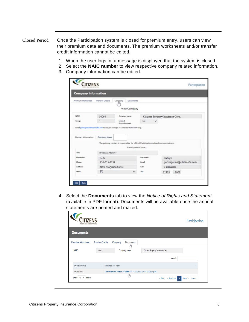## <span id="page-5-0"></span>Closed Period Once the Participation system is closed for premium entry, users can view their premium data and documents. The premium worksheets and/or transfer credit information cannot be edited.

- <span id="page-5-1"></span>1. When the user logs in, a message is displayed that the system is closed.
- 2. Select the **NAIC number** to view respective company related information.
- 3. Company information can be edited.

| <b>Company Information</b> |                          |                                                                                                                |            |              |                                   |
|----------------------------|--------------------------|----------------------------------------------------------------------------------------------------------------|------------|--------------|-----------------------------------|
| Premium Worksheet          | <b>Transfer Credits</b>  | Corppany<br>Documents<br>l Tîh<br>View Company                                                                 |            |              |                                   |
| NAIC:                      | Company name:<br>10064   |                                                                                                                |            |              | Citizens Property Insurance Corp. |
| Group!                     | Limited                  |                                                                                                                | No         | $\checkmark$ |                                   |
| Contact Information        | Company Users            | Apportionment:<br>Email porticipation@clicsruffs.com to request changes to Company Name or Group.              |            |              |                                   |
|                            |                          | The primary contact is responsible for official Participation related correspondence.<br>Participation Contact |            |              |                                   |
| Tide:                      | <b>FINANCIAL ANALYST</b> |                                                                                                                |            |              |                                   |
| First name:                | <b>Beth</b>              |                                                                                                                | Last name: |              | Gallups                           |
| Phone:                     | 850-555-1234             |                                                                                                                | Email:     |              | participation@citizensfla.com     |
| Address:                   | 2101 Maryland Circle     |                                                                                                                | City:      |              | Tallahassee                       |

4. Select the **Documents** tab to view the *Notice of Rights and Statement* (available in PDF format). Documents will be available once the annual statements are printed and mailed.

| PROPERTY INSURANCE CORPORATION |                         |                    |                                                               |                                         | Participation    |
|--------------------------------|-------------------------|--------------------|---------------------------------------------------------------|-----------------------------------------|------------------|
| <b>Documents</b>               |                         |                    |                                                               |                                         |                  |
| <b>Premium Worksheet</b>       | <b>Transfer Credits</b> |                    | <b>Documents</b><br>Company<br>ليرا                           |                                         |                  |
| NAIC:                          | 10064                   |                    | Company name:                                                 | Citizens Property Insurance Corp.       |                  |
|                                |                         |                    |                                                               | Search:                                 |                  |
| <b>Document Date</b>           |                         | Document File Name |                                                               |                                         |                  |
| 09/14/2021                     |                         |                    | Statement and Notice of Rights 09-14-2021 02-24-54-000631.pdf |                                         |                  |
| Show<br>$10 \div$ entries      |                         |                    | lm                                                            | < Previous<br>« First<br>$\overline{1}$ | Next ><br>Last » |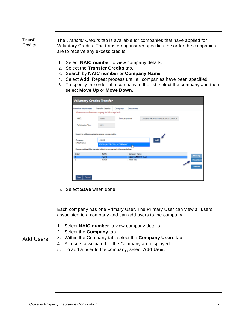<span id="page-6-0"></span>Transfer **Credits** 

<span id="page-6-1"></span>The *Transfer Credits* tab is available for companies that have applied for Voluntary Credits. The transferring insurer specifies the order the companies are to receive any excess credits.

- 1. Select **NAIC number** to view company details.
- 2. Select the **Transfer Credits** tab.
- 3. Search by **NAIC number** or **Company Name**.
- 4. Select **Add**. Repeat process until all companies have been specified.
- 5. To specify the order of a company in the list, select the company and then select **Move Up** or **Move Down**.

| Please select at least one company for Voluntary Credit.                                     | <b>Transfer Credits</b> | Company<br>Documents                  |                                    |                  |
|----------------------------------------------------------------------------------------------|-------------------------|---------------------------------------|------------------------------------|------------------|
|                                                                                              |                         |                                       |                                    |                  |
| <b>NAIC:</b>                                                                                 | 10064                   | Company name:                         | CITIZENS PROPERTY INSURANCE CORPOR |                  |
|                                                                                              |                         |                                       |                                    |                  |
| Participation Year:                                                                          | 2021                    |                                       |                                    |                  |
| <b>NAIC/Name:</b><br>Excess credits will be transferred to the companies in the order below: |                         | 45678   APPROVAL COMPANY<br>ь         |                                    |                  |
| Order                                                                                        | <b>NAIC</b>             | Company Name                          |                                    | Move Up          |
|                                                                                              | 12345<br>65656          | NEW COMPANY TEST<br><b>Jules Test</b> |                                    |                  |
|                                                                                              |                         |                                       |                                    | <b>Move Down</b> |
|                                                                                              |                         |                                       |                                    | Remove           |

6. Select **Save** when done.

Each company has one Primary User. The Primary User can view all users associated to a company and can add users to the company.

- 1. Select **NAIC number** to view company details
- 2. Select the **Company** tab.
- Add Users
- 3. Within the Company tab, select the **Company Users** tab
- 4. All users associated to the Company are displayed.
- 5. To add a user to the company, select **Add User**.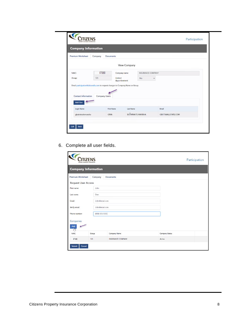| <b>Company Information</b>                                                                              |               |                           |                   |                   |                           |  |
|---------------------------------------------------------------------------------------------------------|---------------|---------------------------|-------------------|-------------------|---------------------------|--|
| Premium Worksheet                                                                                       | Company       | Documents                 |                   |                   |                           |  |
|                                                                                                         |               |                           | View Company      |                   |                           |  |
| NAIC:                                                                                                   | 67890         | Company name:             |                   | INSURANCE COMPANY |                           |  |
| Group:                                                                                                  | 123           | Limited<br>Apportionment: | No.               | $\checkmark$      |                           |  |
| Email participation@citizensfla.com to request changes to Company Name or Group.<br>Contact Information | Company Users |                           |                   |                   |                           |  |
| Add User                                                                                                |               |                           |                   |                   |                           |  |
|                                                                                                         |               | First Name                | Last Name         |                   | Email                     |  |
| Login Name                                                                                              |               | <b>GINA</b>               | BUTMINAITE-MANSHA |                   | <b>GBUTS@ALLSTATE.COM</b> |  |

6. Complete all user fields.

| PROPERTY INSURANCE CORPORATI |                |                          | Participation |                       |  |
|------------------------------|----------------|--------------------------|---------------|-----------------------|--|
| <b>Company Information</b>   |                |                          |               |                       |  |
| <b>Premium Worksheet</b>     | Company        | <b>Documents</b>         |               |                       |  |
| <b>Request User Access</b>   |                |                          |               |                       |  |
| First name:                  | John           |                          |               |                       |  |
| Last name:                   | Doe            |                          |               |                       |  |
| Email:                       | John@emal.com  |                          |               |                       |  |
| Verify email:                | John@emal.com  |                          |               |                       |  |
| Phone number:                | (888) 555-5555 |                          |               |                       |  |
| Companies                    |                |                          |               |                       |  |
| Add<br>$\frac{1}{2}$         |                |                          |               |                       |  |
| <b>NAIC</b>                  | Group          | <b>Company Name</b>      |               | <b>Company Status</b> |  |
| 67890                        | 123            | <b>INSURANCE COMPANY</b> |               | Active                |  |
| <b>Submit</b><br>Cancel      |                |                          |               |                       |  |